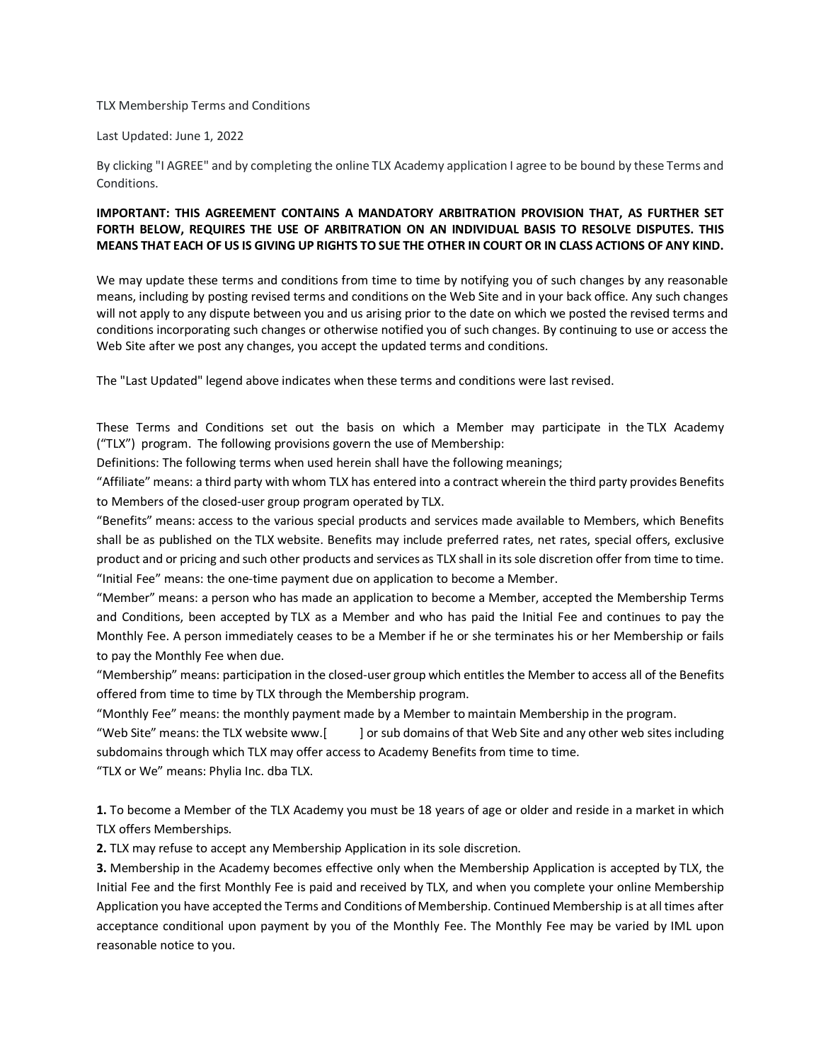## TLX Membership Terms and Conditions

Last Updated: June 1, 2022

By clicking "I AGREE" and by completing the online TLX Academy application I agree to be bound by these Terms and Conditions.

## **IMPORTANT: THIS AGREEMENT CONTAINS A MANDATORY ARBITRATION PROVISION THAT, AS FURTHER SET FORTH BELOW, REQUIRES THE USE OF ARBITRATION ON AN INDIVIDUAL BASIS TO RESOLVE DISPUTES. THIS MEANS THAT EACH OF US IS GIVING UP RIGHTS TO SUE THE OTHER IN COURT OR IN CLASS ACTIONS OF ANY KIND.**

We may update these terms and conditions from time to time by notifying you of such changes by any reasonable means, including by posting revised terms and conditions on the Web Site and in your back office. Any such changes will not apply to any dispute between you and us arising prior to the date on which we posted the revised terms and conditions incorporating such changes or otherwise notified you of such changes. By continuing to use or access the Web Site after we post any changes, you accept the updated terms and conditions.

The "Last Updated" legend above indicates when these terms and conditions were last revised.

These Terms and Conditions set out the basis on which a Member may participate in the TLX Academy ("TLX") program. The following provisions govern the use of Membership:

Definitions: The following terms when used herein shall have the following meanings;

"Affiliate" means: a third party with whom TLX has entered into a contract wherein the third party provides Benefits to Members of the closed-user group program operated by TLX.

"Benefits" means: access to the various special products and services made available to Members, which Benefits shall be as published on the TLX website. Benefits may include preferred rates, net rates, special offers, exclusive product and or pricing and such other products and services as TLX shall in its sole discretion offer from time to time. "Initial Fee" means: the one-time payment due on application to become a Member.

"Member" means: a person who has made an application to become a Member, accepted the Membership Terms and Conditions, been accepted by TLX as a Member and who has paid the Initial Fee and continues to pay the Monthly Fee. A person immediately ceases to be a Member if he or she terminates his or her Membership or fails to pay the Monthly Fee when due.

"Membership" means: participation in the closed-user group which entitles the Member to access all of the Benefits offered from time to time by TLX through the Membership program.

"Monthly Fee" means: the monthly payment made by a Member to maintain Membership in the program.

"Web Site" means: the TLX website www.[ ] or sub domains of that Web Site and any other web sites including subdomains through which TLX may offer access to Academy Benefits from time to time.

"TLX or We" means: Phylia Inc. dba TLX.

**1.** To become a Member of the TLX Academy you must be 18 years of age or older and reside in a market in which TLX offers Memberships.

**2.** TLX may refuse to accept any Membership Application in its sole discretion.

**3.** Membership in the Academy becomes effective only when the Membership Application is accepted by TLX, the Initial Fee and the first Monthly Fee is paid and received by TLX, and when you complete your online Membership Application you have accepted the Terms and Conditions of Membership. Continued Membership is at all times after acceptance conditional upon payment by you of the Monthly Fee. The Monthly Fee may be varied by IML upon reasonable notice to you.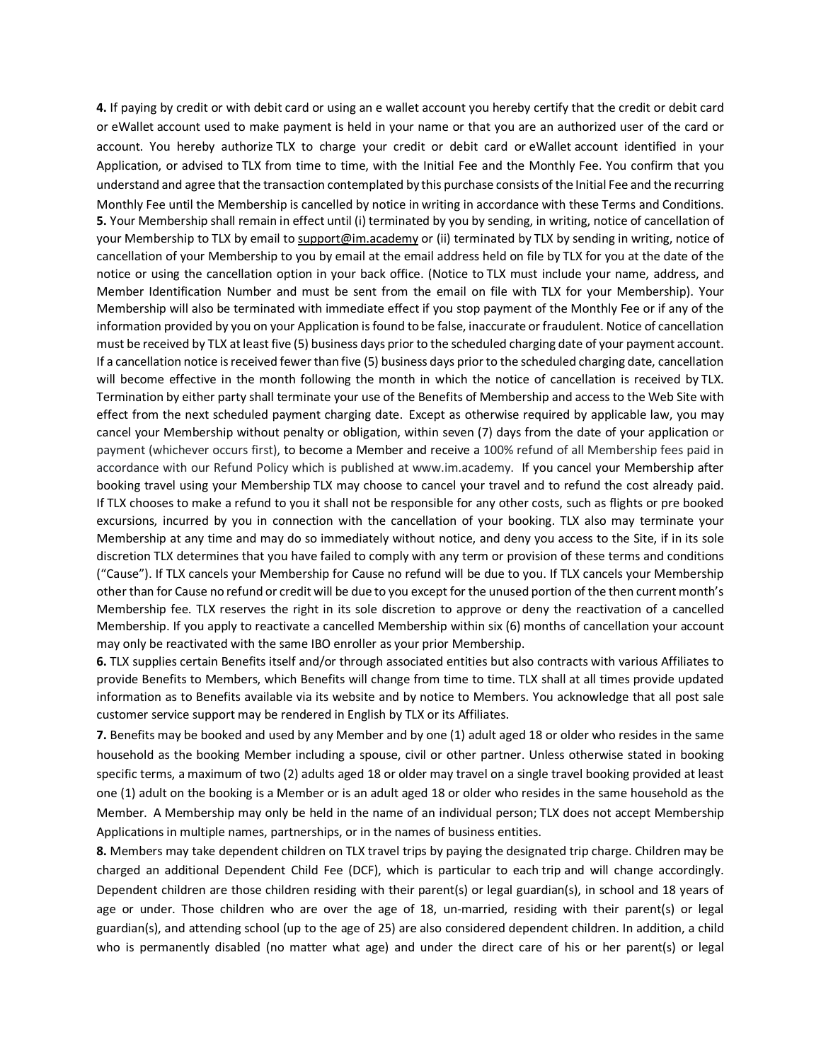**4.** If paying by credit or with debit card or using an e wallet account you hereby certify that the credit or debit card or eWallet account used to make payment is held in your name or that you are an authorized user of the card or account. You hereby authorize TLX to charge your credit or debit card or eWallet account identified in your Application, or advised to TLX from time to time, with the Initial Fee and the Monthly Fee. You confirm that you understand and agree that the transaction contemplated by this purchase consists of the Initial Fee and the recurring Monthly Fee until the Membership is cancelled by notice in writing in accordance with these Terms and Conditions. **5.** Your Membership shall remain in effect until (i) terminated by you by sending, in writing, notice of cancellation of your Membership to TLX by email to support@im.academy or (ii) terminated by TLX by sending in writing, notice of cancellation of your Membership to you by email at the email address held on file by TLX for you at the date of the notice or using the cancellation option in your back office. (Notice to TLX must include your name, address, and Member Identification Number and must be sent from the email on file with TLX for your Membership). Your Membership will also be terminated with immediate effect if you stop payment of the Monthly Fee or if any of the information provided by you on your Application is found to be false, inaccurate or fraudulent. Notice of cancellation must be received by TLX at least five (5) business days prior to the scheduled charging date of your payment account. If a cancellation notice is received fewer than five (5) business days prior to the scheduled charging date, cancellation will become effective in the month following the month in which the notice of cancellation is received by TLX. Termination by either party shall terminate your use of the Benefits of Membership and access to the Web Site with effect from the next scheduled payment charging date. Except as otherwise required by applicable law, you may cancel your Membership without penalty or obligation, within seven (7) days from the date of your application or payment (whichever occurs first), to become a Member and receive a 100% refund of all Membership fees paid in accordance with our Refund Policy which is published at www.im.academy. If you cancel your Membership after booking travel using your Membership TLX may choose to cancel your travel and to refund the cost already paid. If TLX chooses to make a refund to you it shall not be responsible for any other costs, such as flights or pre booked excursions, incurred by you in connection with the cancellation of your booking. TLX also may terminate your Membership at any time and may do so immediately without notice, and deny you access to the Site, if in its sole discretion TLX determines that you have failed to comply with any term or provision of these terms and conditions ("Cause"). If TLX cancels your Membership for Cause no refund will be due to you. If TLX cancels your Membership other than for Cause no refund or credit will be due to you except for the unused portion of the then current month's Membership fee. TLX reserves the right in its sole discretion to approve or deny the reactivation of a cancelled Membership. If you apply to reactivate a cancelled Membership within six (6) months of cancellation your account may only be reactivated with the same IBO enroller as your prior Membership.

**6.** TLX supplies certain Benefits itself and/or through associated entities but also contracts with various Affiliates to provide Benefits to Members, which Benefits will change from time to time. TLX shall at all times provide updated information as to Benefits available via its website and by notice to Members. You acknowledge that all post sale customer service support may be rendered in English by TLX or its Affiliates.

**7.** Benefits may be booked and used by any Member and by one (1) adult aged 18 or older who resides in the same household as the booking Member including a spouse, civil or other partner. Unless otherwise stated in booking specific terms, a maximum of two (2) adults aged 18 or older may travel on a single travel booking provided at least one (1) adult on the booking is a Member or is an adult aged 18 or older who resides in the same household as the Member. A Membership may only be held in the name of an individual person; TLX does not accept Membership Applications in multiple names, partnerships, or in the names of business entities.

**8.** Members may take dependent children on TLX travel trips by paying the designated trip charge. Children may be charged an additional Dependent Child Fee (DCF), which is particular to each trip and will change accordingly. Dependent children are those children residing with their parent(s) or legal guardian(s), in school and 18 years of age or under. Those children who are over the age of 18, un-married, residing with their parent(s) or legal guardian(s), and attending school (up to the age of 25) are also considered dependent children. In addition, a child who is permanently disabled (no matter what age) and under the direct care of his or her parent(s) or legal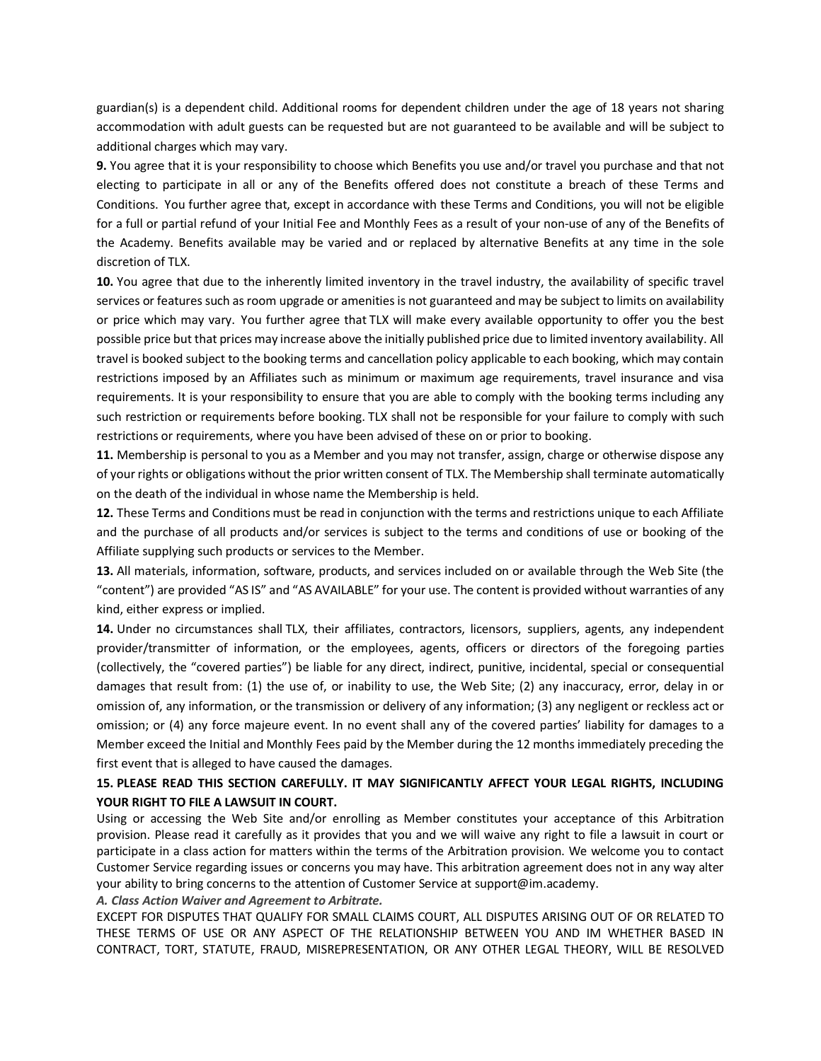guardian(s) is a dependent child. Additional rooms for dependent children under the age of 18 years not sharing accommodation with adult guests can be requested but are not guaranteed to be available and will be subject to additional charges which may vary.

**9.** You agree that it is your responsibility to choose which Benefits you use and/or travel you purchase and that not electing to participate in all or any of the Benefits offered does not constitute a breach of these Terms and Conditions. You further agree that, except in accordance with these Terms and Conditions, you will not be eligible for a full or partial refund of your Initial Fee and Monthly Fees as a result of your non-use of any of the Benefits of the Academy. Benefits available may be varied and or replaced by alternative Benefits at any time in the sole discretion of TLX.

**10.** You agree that due to the inherently limited inventory in the travel industry, the availability of specific travel services or features such as room upgrade or amenities is not guaranteed and may be subject to limits on availability or price which may vary. You further agree that TLX will make every available opportunity to offer you the best possible price but that prices may increase above the initially published price due to limited inventory availability. All travel is booked subject to the booking terms and cancellation policy applicable to each booking, which may contain restrictions imposed by an Affiliates such as minimum or maximum age requirements, travel insurance and visa requirements. It is your responsibility to ensure that you are able to comply with the booking terms including any such restriction or requirements before booking. TLX shall not be responsible for your failure to comply with such restrictions or requirements, where you have been advised of these on or prior to booking.

**11.** Membership is personal to you as a Member and you may not transfer, assign, charge or otherwise dispose any of your rights or obligations without the prior written consent of TLX. The Membership shall terminate automatically on the death of the individual in whose name the Membership is held.

**12.** These Terms and Conditions must be read in conjunction with the terms and restrictions unique to each Affiliate and the purchase of all products and/or services is subject to the terms and conditions of use or booking of the Affiliate supplying such products or services to the Member.

**13.** All materials, information, software, products, and services included on or available through the Web Site (the "content") are provided "AS IS" and "AS AVAILABLE" for your use. The content is provided without warranties of any kind, either express or implied.

**14.** Under no circumstances shall TLX, their affiliates, contractors, licensors, suppliers, agents, any independent provider/transmitter of information, or the employees, agents, officers or directors of the foregoing parties (collectively, the "covered parties") be liable for any direct, indirect, punitive, incidental, special or consequential damages that result from: (1) the use of, or inability to use, the Web Site; (2) any inaccuracy, error, delay in or omission of, any information, or the transmission or delivery of any information; (3) any negligent or reckless act or omission; or (4) any force majeure event. In no event shall any of the covered parties' liability for damages to a Member exceed the Initial and Monthly Fees paid by the Member during the 12 months immediately preceding the first event that is alleged to have caused the damages.

## **15. PLEASE READ THIS SECTION CAREFULLY. IT MAY SIGNIFICANTLY AFFECT YOUR LEGAL RIGHTS, INCLUDING YOUR RIGHT TO FILE A LAWSUIT IN COURT.**

Using or accessing the Web Site and/or enrolling as Member constitutes your acceptance of this Arbitration provision. Please read it carefully as it provides that you and we will waive any right to file a lawsuit in court or participate in a class action for matters within the terms of the Arbitration provision. We welcome you to contact Customer Service regarding issues or concerns you may have. This arbitration agreement does not in any way alter your ability to bring concerns to the attention of Customer Service at support@im.academy.

*A. Class Action Waiver and Agreement to Arbitrate.*

EXCEPT FOR DISPUTES THAT QUALIFY FOR SMALL CLAIMS COURT, ALL DISPUTES ARISING OUT OF OR RELATED TO THESE TERMS OF USE OR ANY ASPECT OF THE RELATIONSHIP BETWEEN YOU AND IM WHETHER BASED IN CONTRACT, TORT, STATUTE, FRAUD, MISREPRESENTATION, OR ANY OTHER LEGAL THEORY, WILL BE RESOLVED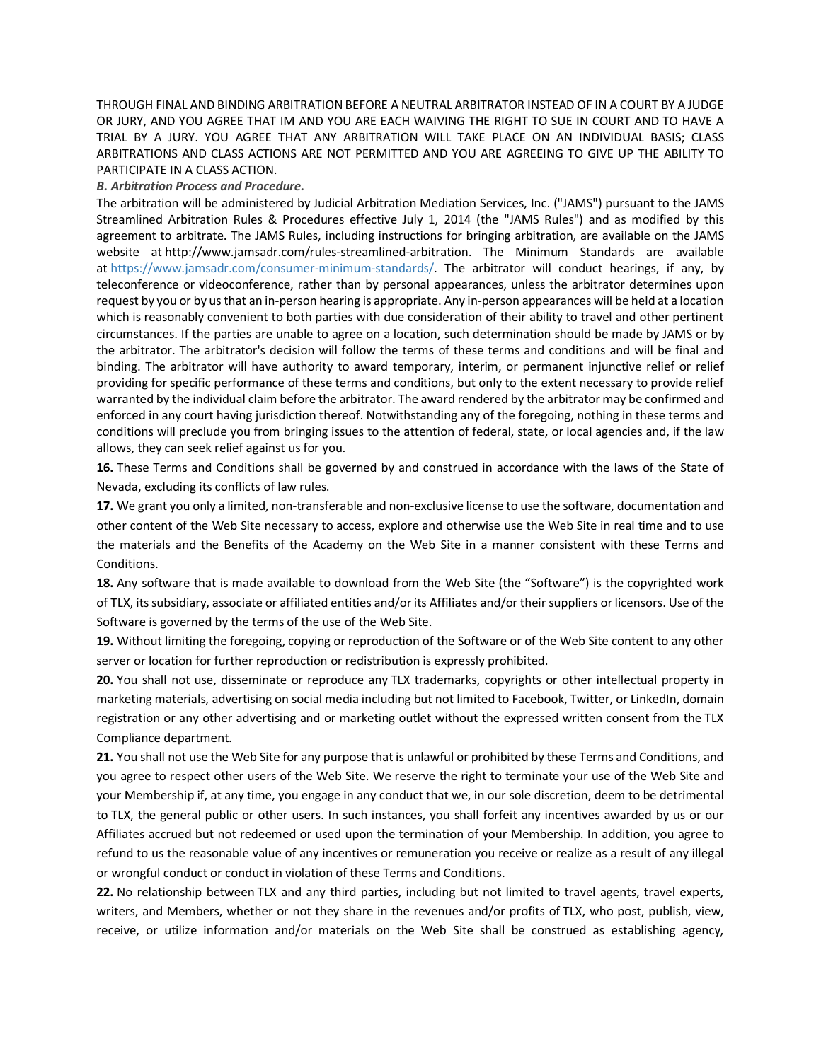THROUGH FINAL AND BINDING ARBITRATION BEFORE A NEUTRAL ARBITRATOR INSTEAD OF IN A COURT BY A JUDGE OR JURY, AND YOU AGREE THAT IM AND YOU ARE EACH WAIVING THE RIGHT TO SUE IN COURT AND TO HAVE A TRIAL BY A JURY. YOU AGREE THAT ANY ARBITRATION WILL TAKE PLACE ON AN INDIVIDUAL BASIS; CLASS ARBITRATIONS AND CLASS ACTIONS ARE NOT PERMITTED AND YOU ARE AGREEING TO GIVE UP THE ABILITY TO PARTICIPATE IN A CLASS ACTION.

## *B. Arbitration Process and Procedure.*

The arbitration will be administered by Judicial Arbitration Mediation Services, Inc. ("JAMS") pursuant to the JAMS Streamlined Arbitration Rules & Procedures effective July 1, 2014 (the "JAMS Rules") and as modified by this agreement to arbitrate. The JAMS Rules, including instructions for bringing arbitration, are available on the JAMS website at [http://www.jamsadr.com/rules-streamlined-arbitration.](http://www.jamsadr.com/rules-streamlined-arbitration) The Minimum Standards are available at [https://www.jamsadr.com/consumer-minimum-standards/.](https://www.jamsadr.com/consumer-minimum-standards/) The arbitrator will conduct hearings, if any, by teleconference or videoconference, rather than by personal appearances, unless the arbitrator determines upon request by you or by us that an in-person hearing is appropriate. Any in-person appearances will be held at a location which is reasonably convenient to both parties with due consideration of their ability to travel and other pertinent circumstances. If the parties are unable to agree on a location, such determination should be made by JAMS or by the arbitrator. The arbitrator's decision will follow the terms of these terms and conditions and will be final and binding. The arbitrator will have authority to award temporary, interim, or permanent injunctive relief or relief providing for specific performance of these terms and conditions, but only to the extent necessary to provide relief warranted by the individual claim before the arbitrator. The award rendered by the arbitrator may be confirmed and enforced in any court having jurisdiction thereof. Notwithstanding any of the foregoing, nothing in these terms and conditions will preclude you from bringing issues to the attention of federal, state, or local agencies and, if the law allows, they can seek relief against us for you.

**16.** These Terms and Conditions shall be governed by and construed in accordance with the laws of the State of Nevada, excluding its conflicts of law rules.

**17.** We grant you only a limited, non-transferable and non-exclusive license to use the software, documentation and other content of the Web Site necessary to access, explore and otherwise use the Web Site in real time and to use the materials and the Benefits of the Academy on the Web Site in a manner consistent with these Terms and Conditions.

**18.** Any software that is made available to download from the Web Site (the "Software") is the copyrighted work of TLX, its subsidiary, associate or affiliated entities and/or its Affiliates and/or their suppliers or licensors. Use of the Software is governed by the terms of the use of the Web Site.

**19.** Without limiting the foregoing, copying or reproduction of the Software or of the Web Site content to any other server or location for further reproduction or redistribution is expressly prohibited.

**20.** You shall not use, disseminate or reproduce any TLX trademarks, copyrights or other intellectual property in marketing materials, advertising on social media including but not limited to Facebook, Twitter, or LinkedIn, domain registration or any other advertising and or marketing outlet without the expressed written consent from the TLX Compliance department.

**21.** You shall not use the Web Site for any purpose that is unlawful or prohibited by these Terms and Conditions, and you agree to respect other users of the Web Site. We reserve the right to terminate your use of the Web Site and your Membership if, at any time, you engage in any conduct that we, in our sole discretion, deem to be detrimental to TLX, the general public or other users. In such instances, you shall forfeit any incentives awarded by us or our Affiliates accrued but not redeemed or used upon the termination of your Membership. In addition, you agree to refund to us the reasonable value of any incentives or remuneration you receive or realize as a result of any illegal or wrongful conduct or conduct in violation of these Terms and Conditions.

**22.** No relationship between TLX and any third parties, including but not limited to travel agents, travel experts, writers, and Members, whether or not they share in the revenues and/or profits of TLX, who post, publish, view, receive, or utilize information and/or materials on the Web Site shall be construed as establishing agency,